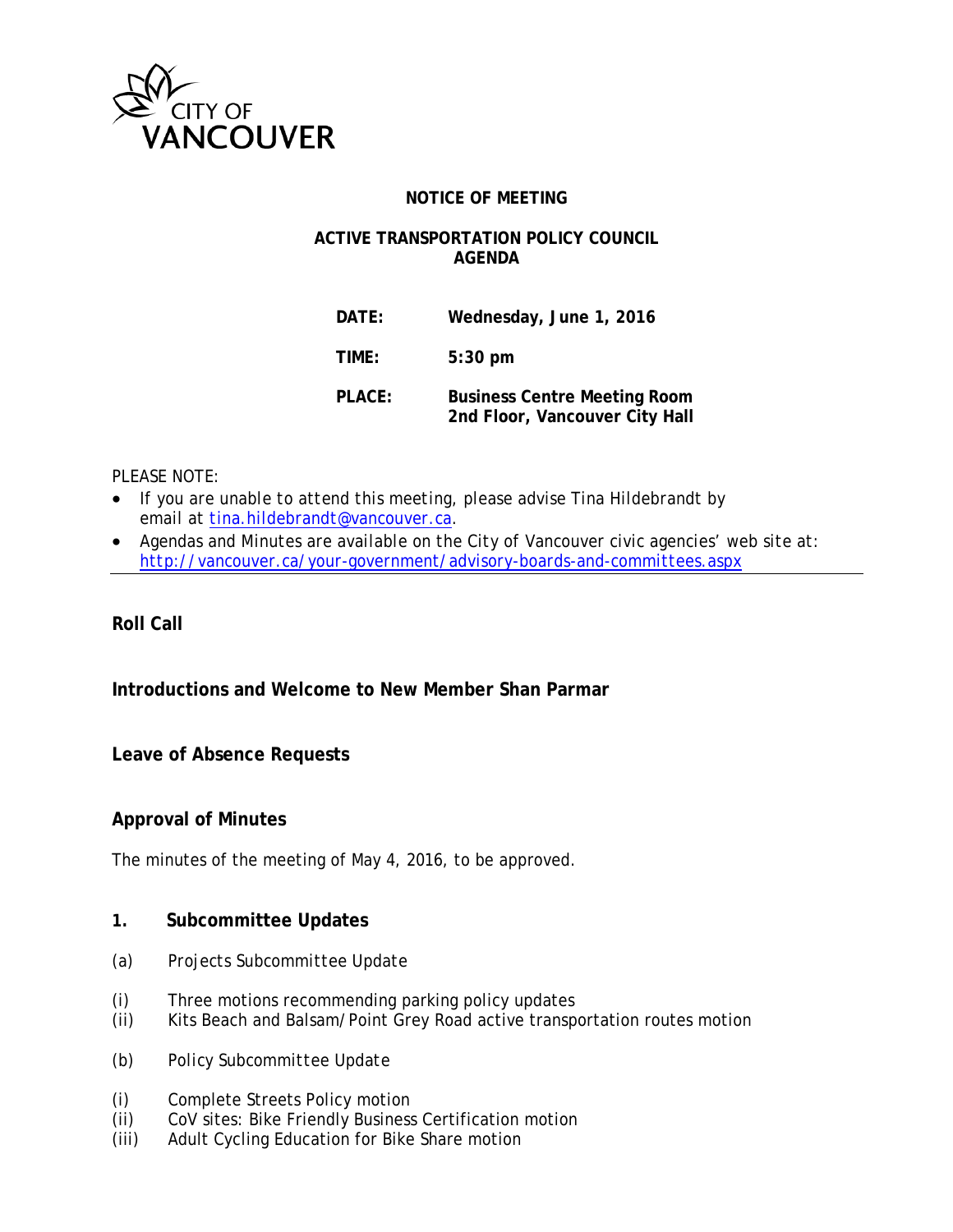

### **NOTICE OF MEETING**

#### **ACTIVE TRANSPORTATION POLICY COUNCIL AGENDA**

**DATE: Wednesday, June 1, 2016 TIME: 5:30 pm PLACE: Business Centre Meeting Room 2nd Floor, Vancouver City Hall**

#### *PLEASE NOTE:*

- *If you are unable to attend this meeting, please advise Tina Hildebrandt by email at [tina.hildebrandt@vancouver.ca.](mailto:tina.hildebrandt@vancouver.ca)*
- *Agendas and Minutes are available on the City of Vancouver civic agencies' web site at: <http://vancouver.ca/your-government/advisory-boards-and-committees.aspx>*

### **Roll Call**

## **Introductions and Welcome to New Member Shan Parmar**

### **Leave of Absence Requests**

### **Approval of Minutes**

The minutes of the meeting of May 4, 2016, to be approved.

#### **1. Subcommittee Updates**

- *(a) Projects Subcommittee Update*
- (i) Three motions recommending parking policy updates
- (ii) Kits Beach and Balsam/Point Grey Road active transportation routes motion
- *(b) Policy Subcommittee Update*
- (i) Complete Streets Policy motion
- (ii) CoV sites: Bike Friendly Business Certification motion
- (iii) Adult Cycling Education for Bike Share motion